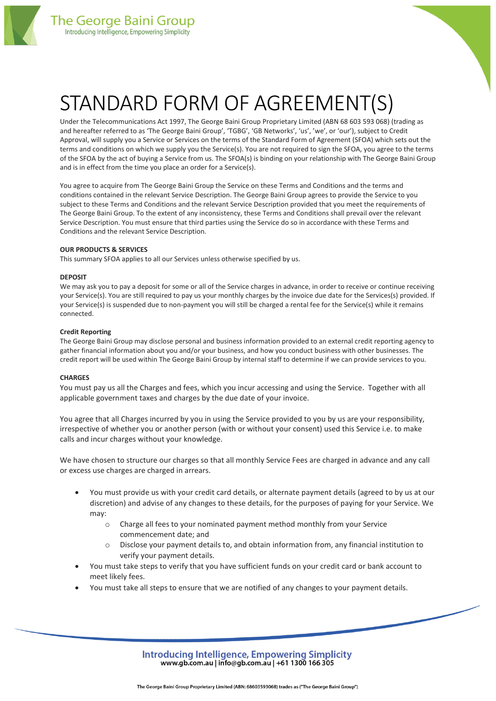

# STANDARD FORM OF AGREEMENT(S)

Under the Telecommunications Act 1997, The George Baini Group Proprietary Limited (ABN 68 603 593 068) (trading as and hereafter referred to as 'The George Baini Group', 'TGBG', 'GB Networks', 'us', 'we', or 'our'), subject to Credit Approval, will supply you a Service or Services on the terms of the Standard Form of Agreement (SFOA) which sets out the terms and conditions on which we supply you the Service(s). You are not required to sign the SFOA, you agree to the terms of the SFOA by the act of buying a Service from us. The SFOA(s) is binding on your relationship with The George Baini Group and is in effect from the time you place an order for a Service(s).

You agree to acquire from The George Baini Group the Service on these Terms and Conditions and the terms and conditions contained in the relevant Service Description. The George Baini Group agrees to provide the Service to you subject to these Terms and Conditions and the relevant Service Description provided that you meet the requirements of The George Baini Group. To the extent of any inconsistency, these Terms and Conditions shall prevail over the relevant Service Description. You must ensure that third parties using the Service do so in accordance with these Terms and Conditions and the relevant Service Description.

# **OUR PRODUCTS & SERVICES**

This summary SFOA applies to all our Services unless otherwise specified by us.

# **DEPOSIT**

We may ask you to pay a deposit for some or all of the Service charges in advance, in order to receive or continue receiving your Service(s). You are still required to pay us your monthly charges by the invoice due date for the Services(s) provided. If your Service(s) is suspended due to non-payment you will still be charged a rental fee for the Service(s) while it remains connected.

# **Credit Reporting**

The George Baini Group may disclose personal and business information provided to an external credit reporting agency to gather financial information about you and/or your business, and how you conduct business with other businesses. The credit report will be used within The George Baini Group by internal staff to determine if we can provide services to you.

# **CHARGES**

You must pay us all the Charges and fees, which you incur accessing and using the Service. Together with all applicable government taxes and charges by the due date of your invoice.

You agree that all Charges incurred by you in using the Service provided to you by us are your responsibility, irrespective of whether you or another person (with or without your consent) used this Service i.e. to make calls and incur charges without your knowledge.

We have chosen to structure our charges so that all monthly Service Fees are charged in advance and any call or excess use charges are charged in arrears.

- You must provide us with your credit card details, or alternate payment details (agreed to by us at our discretion) and advise of any changes to these details, for the purposes of paying for your Service. We may:
	- o Charge all fees to your nominated payment method monthly from your Service commencement date; and
	- $\circ$  Disclose your payment details to, and obtain information from, any financial institution to verify your payment details.
- You must take steps to verify that you have sufficient funds on your credit card or bank account to meet likely fees.
- You must take all steps to ensure that we are notified of any changes to your payment details.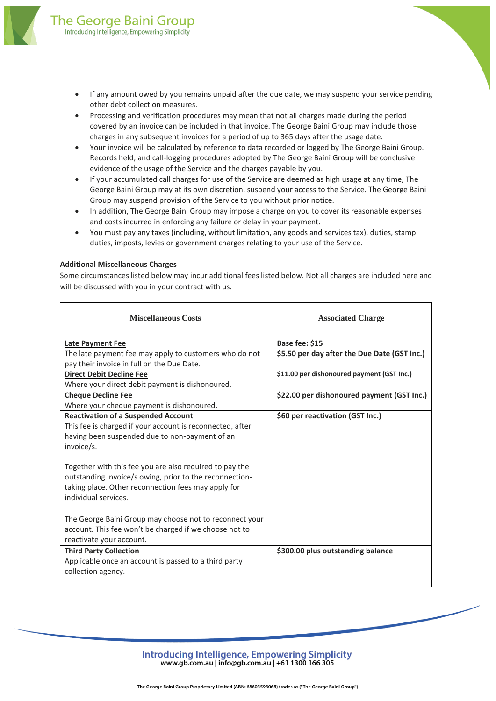

- If any amount owed by you remains unpaid after the due date, we may suspend your service pending other debt collection measures.
- Processing and verification procedures may mean that not all charges made during the period covered by an invoice can be included in that invoice. The George Baini Group may include those charges in any subsequent invoices for a period of up to 365 days after the usage date.
- Your invoice will be calculated by reference to data recorded or logged by The George Baini Group. Records held, and call-logging procedures adopted by The George Baini Group will be conclusive evidence of the usage of the Service and the charges payable by you.
- If your accumulated call charges for use of the Service are deemed as high usage at any time, The George Baini Group may at its own discretion, suspend your access to the Service. The George Baini Group may suspend provision of the Service to you without prior notice.
- In addition, The George Baini Group may impose a charge on you to cover its reasonable expenses and costs incurred in enforcing any failure or delay in your payment.
- You must pay any taxes (including, without limitation, any goods and services tax), duties, stamp duties, imposts, levies or government charges relating to your use of the Service.

# **Additional Miscellaneous Charges**

Some circumstances listed below may incur additional fees listed below. Not all charges are included here and will be discussed with you in your contract with us.

| <b>Miscellaneous Costs</b>                                                                                                                                                                        | <b>Associated Charge</b>                     |
|---------------------------------------------------------------------------------------------------------------------------------------------------------------------------------------------------|----------------------------------------------|
| <b>Late Payment Fee</b>                                                                                                                                                                           | Base fee: \$15                               |
| The late payment fee may apply to customers who do not                                                                                                                                            | \$5.50 per day after the Due Date (GST Inc.) |
| pay their invoice in full on the Due Date.                                                                                                                                                        |                                              |
| <b>Direct Debit Decline Fee</b>                                                                                                                                                                   | \$11.00 per dishonoured payment (GST Inc.)   |
| Where your direct debit payment is dishonoured.                                                                                                                                                   |                                              |
| <b>Cheque Decline Fee</b>                                                                                                                                                                         | \$22.00 per dishonoured payment (GST Inc.)   |
| Where your cheque payment is dishonoured.                                                                                                                                                         |                                              |
| <b>Reactivation of a Suspended Account</b>                                                                                                                                                        | \$60 per reactivation (GST Inc.)             |
| This fee is charged if your account is reconnected, after                                                                                                                                         |                                              |
| having been suspended due to non-payment of an                                                                                                                                                    |                                              |
| invoice/s.                                                                                                                                                                                        |                                              |
| Together with this fee you are also required to pay the<br>outstanding invoice/s owing, prior to the reconnection-<br>taking place. Other reconnection fees may apply for<br>individual services. |                                              |
| The George Baini Group may choose not to reconnect your<br>account. This fee won't be charged if we choose not to<br>reactivate your account.                                                     |                                              |
| <b>Third Party Collection</b><br>Applicable once an account is passed to a third party<br>collection agency.                                                                                      | \$300.00 plus outstanding balance            |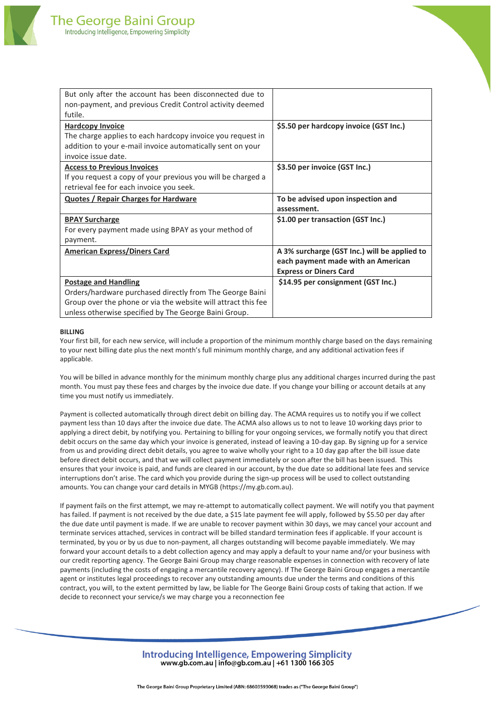| But only after the account has been disconnected due to<br>non-payment, and previous Credit Control activity deemed                                                        |                                                                                                                     |
|----------------------------------------------------------------------------------------------------------------------------------------------------------------------------|---------------------------------------------------------------------------------------------------------------------|
| futile.                                                                                                                                                                    |                                                                                                                     |
| <b>Hardcopy Invoice</b><br>The charge applies to each hardcopy invoice you request in<br>addition to your e-mail invoice automatically sent on your<br>invoice issue date. | \$5.50 per hardcopy invoice (GST Inc.)                                                                              |
| <b>Access to Previous Invoices</b><br>If you request a copy of your previous you will be charged a<br>retrieval fee for each invoice you seek.                             | \$3.50 per invoice (GST Inc.)                                                                                       |
| <b>Quotes / Repair Charges for Hardware</b>                                                                                                                                | To be advised upon inspection and<br>assessment.                                                                    |
| <b>BPAY Surcharge</b><br>For every payment made using BPAY as your method of<br>payment.                                                                                   | \$1.00 per transaction (GST Inc.)                                                                                   |
| <b>American Express/Diners Card</b>                                                                                                                                        | A 3% surcharge (GST Inc.) will be applied to<br>each payment made with an American<br><b>Express or Diners Card</b> |
| <b>Postage and Handling</b>                                                                                                                                                | \$14.95 per consignment (GST Inc.)                                                                                  |
| Orders/hardware purchased directly from The George Baini                                                                                                                   |                                                                                                                     |
| Group over the phone or via the website will attract this fee                                                                                                              |                                                                                                                     |
| unless otherwise specified by The George Baini Group.                                                                                                                      |                                                                                                                     |

# **BILLING**

Your first bill, for each new service, will include a proportion of the minimum monthly charge based on the days remaining to your next billing date plus the next month's full minimum monthly charge, and any additional activation fees if applicable.

You will be billed in advance monthly for the minimum monthly charge plus any additional charges incurred during the past month. You must pay these fees and charges by the invoice due date. If you change your billing or account details at any time you must notify us immediately.

Payment is collected automatically through direct debit on billing day. The ACMA requires us to notify you if we collect payment less than 10 days after the invoice due date. The ACMA also allows us to not to leave 10 working days prior to applying a direct debit, by notifying you. Pertaining to billing for your ongoing services, we formally notify you that direct debit occurs on the same day which your invoice is generated, instead of leaving a 10-day gap. By signing up for a service from us and providing direct debit details, you agree to waive wholly your right to a 10 day gap after the bill issue date before direct debit occurs, and that we will collect payment immediately or soon after the bill has been issued. This ensures that your invoice is paid, and funds are cleared in our account, by the due date so additional late fees and service interruptions don't arise. The card which you provide during the sign-up process will be used to collect outstanding amounts. You can change your card details in MYGB (https://my.gb.com.au).

If payment fails on the first attempt, we may re-attempt to automatically collect payment. We will notify you that payment has failed. If payment is not received by the due date, a \$15 late payment fee will apply, followed by \$5.50 per day after the due date until payment is made. If we are unable to recover payment within 30 days, we may cancel your account and terminate services attached, services in contract will be billed standard termination fees if applicable. If your account is terminated, by you or by us due to non-payment, all charges outstanding will become payable immediately. We may forward your account details to a debt collection agency and may apply a default to your name and/or your business with our credit reporting agency. The George Baini Group may charge reasonable expenses in connection with recovery of late payments (including the costs of engaging a mercantile recovery agency). If The George Baini Group engages a mercantile agent or institutes legal proceedings to recover any outstanding amounts due under the terms and conditions of this contract, you will, to the extent permitted by law, be liable for The George Baini Group costs of taking that action. If we decide to reconnect your service/s we may charge you a reconnection fee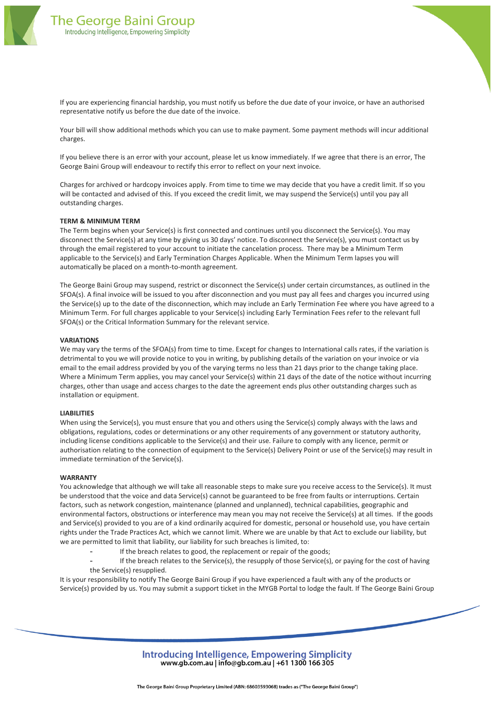

If you are experiencing financial hardship, you must notify us before the due date of your invoice, or have an authorised representative notify us before the due date of the invoice.

Your bill will show additional methods which you can use to make payment. Some payment methods will incur additional charges.

If you believe there is an error with your account, please let us know immediately. If we agree that there is an error, The George Baini Group will endeavour to rectify this error to reflect on your next invoice.

Charges for archived or hardcopy invoices apply. From time to time we may decide that you have a credit limit. If so you will be contacted and advised of this. If you exceed the credit limit, we may suspend the Service(s) until you pay all outstanding charges.

# **TERM & MINIMUM TERM**

The Term begins when your Service(s) is first connected and continues until you disconnect the Service(s). You may disconnect the Service(s) at any time by giving us 30 days' notice. To disconnect the Service(s), you must contact us by through the email registered to your account to initiate the cancelation process. There may be a Minimum Term applicable to the Service(s) and Early Termination Charges Applicable. When the Minimum Term lapses you will automatically be placed on a month-to-month agreement.

The George Baini Group may suspend, restrict or disconnect the Service(s) under certain circumstances, as outlined in the SFOA(s). A final invoice will be issued to you after disconnection and you must pay all fees and charges you incurred using the Service(s) up to the date of the disconnection, which may include an Early Termination Fee where you have agreed to a Minimum Term. For full charges applicable to your Service(s) including Early Termination Fees refer to the relevant full SFOA(s) or the Critical Information Summary for the relevant service.

#### **VARIATIONS**

We may vary the terms of the SFOA(s) from time to time. Except for changes to International calls rates, if the variation is detrimental to you we will provide notice to you in writing, by publishing details of the variation on your invoice or via email to the email address provided by you of the varying terms no less than 21 days prior to the change taking place. Where a Minimum Term applies, you may cancel your Service(s) within 21 days of the date of the notice without incurring charges, other than usage and access charges to the date the agreement ends plus other outstanding charges such as installation or equipment.

# **LIABILITIES**

When using the Service(s), you must ensure that you and others using the Service(s) comply always with the laws and obligations, regulations, codes or determinations or any other requirements of any government or statutory authority, including license conditions applicable to the Service(s) and their use. Failure to comply with any licence, permit or authorisation relating to the connection of equipment to the Service(s) Delivery Point or use of the Service(s) may result in immediate termination of the Service(s).

# **WARRANTY**

You acknowledge that although we will take all reasonable steps to make sure you receive access to the Service(s). It must be understood that the voice and data Service(s) cannot be guaranteed to be free from faults or interruptions. Certain factors, such as network congestion, maintenance (planned and unplanned), technical capabilities, geographic and environmental factors, obstructions or interference may mean you may not receive the Service(s) at all times. If the goods and Service(s) provided to you are of a kind ordinarily acquired for domestic, personal or household use, you have certain rights under the Trade Practices Act, which we cannot limit. Where we are unable by that Act to exclude our liability, but we are permitted to limit that liability, our liability for such breaches is limited, to:

- If the breach relates to good, the replacement or repair of the goods;
- If the breach relates to the Service(s), the resupply of those Service(s), or paying for the cost of having the Service(s) resupplied.

It is your responsibility to notify The George Baini Group if you have experienced a fault with any of the products or Service(s) provided by us. You may submit a support ticket in the MYGB Portal to lodge the fault. If The George Baini Group